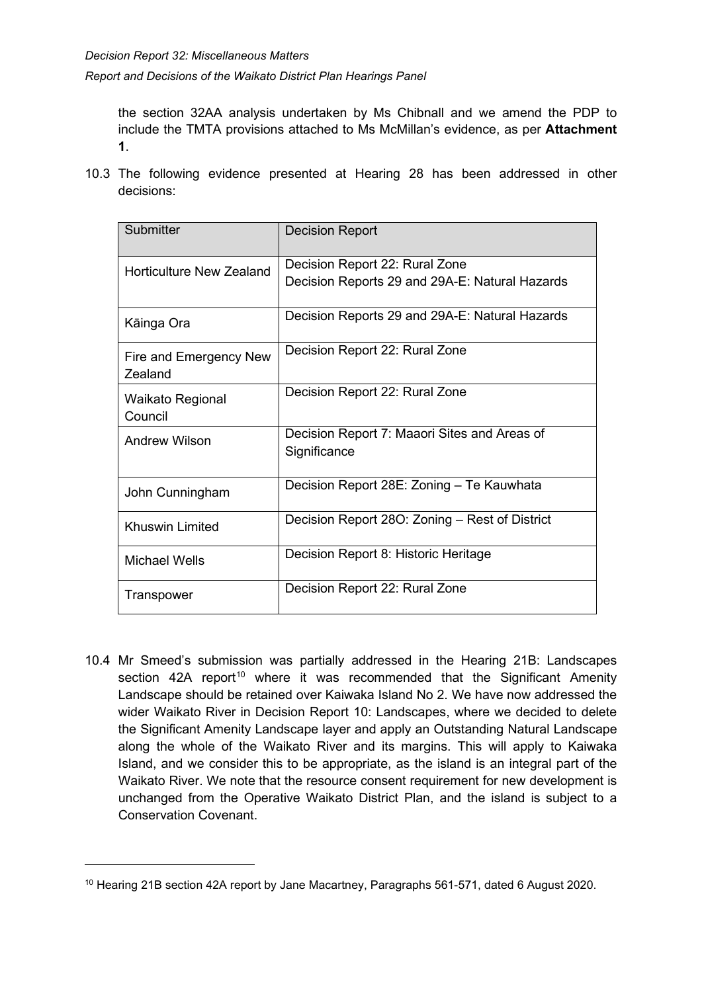*Report and Decisions of the Waikato District Plan Hearings Panel*

the section 32AA analysis undertaken by Ms Chibnall and we amend the PDP to include the TMTA provisions attached to Ms McMillan's evidence, as per **Attachment 1**.

10.3 The following evidence presented at Hearing 28 has been addressed in other decisions:

| Submitter                                | <b>Decision Report</b>                         |
|------------------------------------------|------------------------------------------------|
| Horticulture New Zealand                 | Decision Report 22: Rural Zone                 |
|                                          | Decision Reports 29 and 29A-E: Natural Hazards |
| Kāinga Ora                               | Decision Reports 29 and 29A-E: Natural Hazards |
| Fire and Emergency New<br><b>Zealand</b> | Decision Report 22: Rural Zone                 |
| <b>Waikato Regional</b>                  | Decision Report 22: Rural Zone                 |
| Council                                  |                                                |
| <b>Andrew Wilson</b>                     | Decision Report 7: Maaori Sites and Areas of   |
|                                          | Significance                                   |
| John Cunningham                          | Decision Report 28E: Zoning - Te Kauwhata      |
| <b>Khuswin Limited</b>                   | Decision Report 280: Zoning - Rest of District |
| <b>Michael Wells</b>                     | Decision Report 8: Historic Heritage           |
| Transpower                               | Decision Report 22: Rural Zone                 |

10.4 Mr Smeed's submission was partially addressed in the Hearing 21B: Landscapes section 42A report<sup>[10](#page-24-0)</sup> where it was recommended that the Significant Amenity Landscape should be retained over Kaiwaka Island No 2. We have now addressed the wider Waikato River in Decision Report 10: Landscapes, where we decided to delete the Significant Amenity Landscape layer and apply an Outstanding Natural Landscape along the whole of the Waikato River and its margins. This will apply to Kaiwaka Island, and we consider this to be appropriate, as the island is an integral part of the Waikato River. We note that the resource consent requirement for new development is unchanged from the Operative Waikato District Plan, and the island is subject to a Conservation Covenant.

<span id="page-24-0"></span><sup>10</sup> Hearing 21B section 42A report by Jane Macartney, Paragraphs 561-571, dated 6 August 2020.